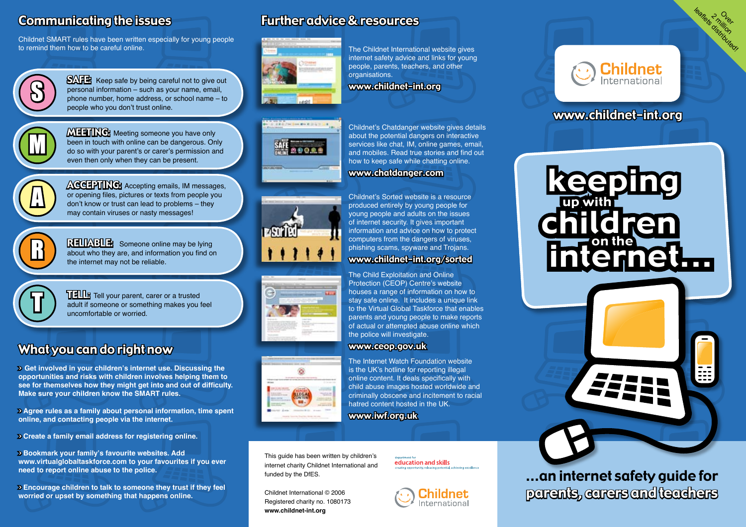# Communicating the issues

Childnet SMART rules have been written especially for young people to remind them how to be careful online.



SAFE: Keep safe by being careful not to give out personal information – such as your name, email, phone number, home address, or school name – to people who you don't trust online.



**MEETING:** Meeting someone you have only been in touch with online can be dangerous. Only do so with your parent's or carer's permission and even then only when they can be present.



**ACCEPTING:** Accepting emails, IM messages,<br>or opening files, pictures or texts from people you<br>don't know or trust can lead to problems – they or opening files, pictures or texts from people you don't know or trust can lead to problems – they may contain viruses or nasty messages!

> RELIABLE: Someone online may be lying about who they are, and information you find on the internet may not be reliable.



THE Tell your parent, carer or a trusted<br>adult if someone or something makes you feel<br>uncomfortable or worried. uncomfortable or worried.

# What you can do right now

> **Get involved in your children's internet use. Discussing the opportunities and risks with children involves helping them to see for themselves how they might get into and out of difficulty. Make sure your children know the SMART rules.** 

> **Agree rules as a family about personal information, time spent online, and contacting people via the internet.** 

> **Create a family email address for registering online.**

> **Bookmark your family's favourite websites. Add www.virtualglobaltaskforce.com to your favourites if you ever need to report online abuse to the police.**

> **Encourage children to talk to someone they trust if they feel worried or upset by something that happens online.** 

# Further advice & resources



The Childnet International website gives internet safety advice and links for young people, parents, teachers, and other organisations.

www.childnet-int.org









Childnet's Chatdanger website gives details about the potential dangers on interactive services like chat, IM, online games, email, and mobiles. Read true stories and find out how to keep safe while chatting online. www.chatdanger.com

Childnet's Sorted website is a resource produced entirely by young people for young people and adults on the issues of internet security. It gives important

#### www.childnet-int.org/sorted

The Child Exploitation and Online Protection (CEOP) Centre's website houses a range of information on how to stay safe online. It includes a unique link to the Virtual Global Taskforce that enables parents and young people to make reports of actual or attempted abuse online which the police will investigate.

#### www.ceop.gov.uk

The Internet Watch Foundation website is the UK's hotline for reporting illegal online content. It deals specifically with child abuse images hosted worldwide and criminally obscene and incitement to racial hatred content hosted in the UK.

www.iwf.org.uk

This guide has been written by children's internet charity Childnet International and funded by the DfES.

Childnet International © 2006 Registered charity no. 1080173 **www.childnet-int.org**

education and skills



ernet

...an internet safety guide for parents, carers and teachers



leaflets<sup>2</sup> million

## www.childnet-int.org

keeping

children

up with

# information and advice on how to protect computers from the dangers of viruses, phishing scams, spyware and Trojans.